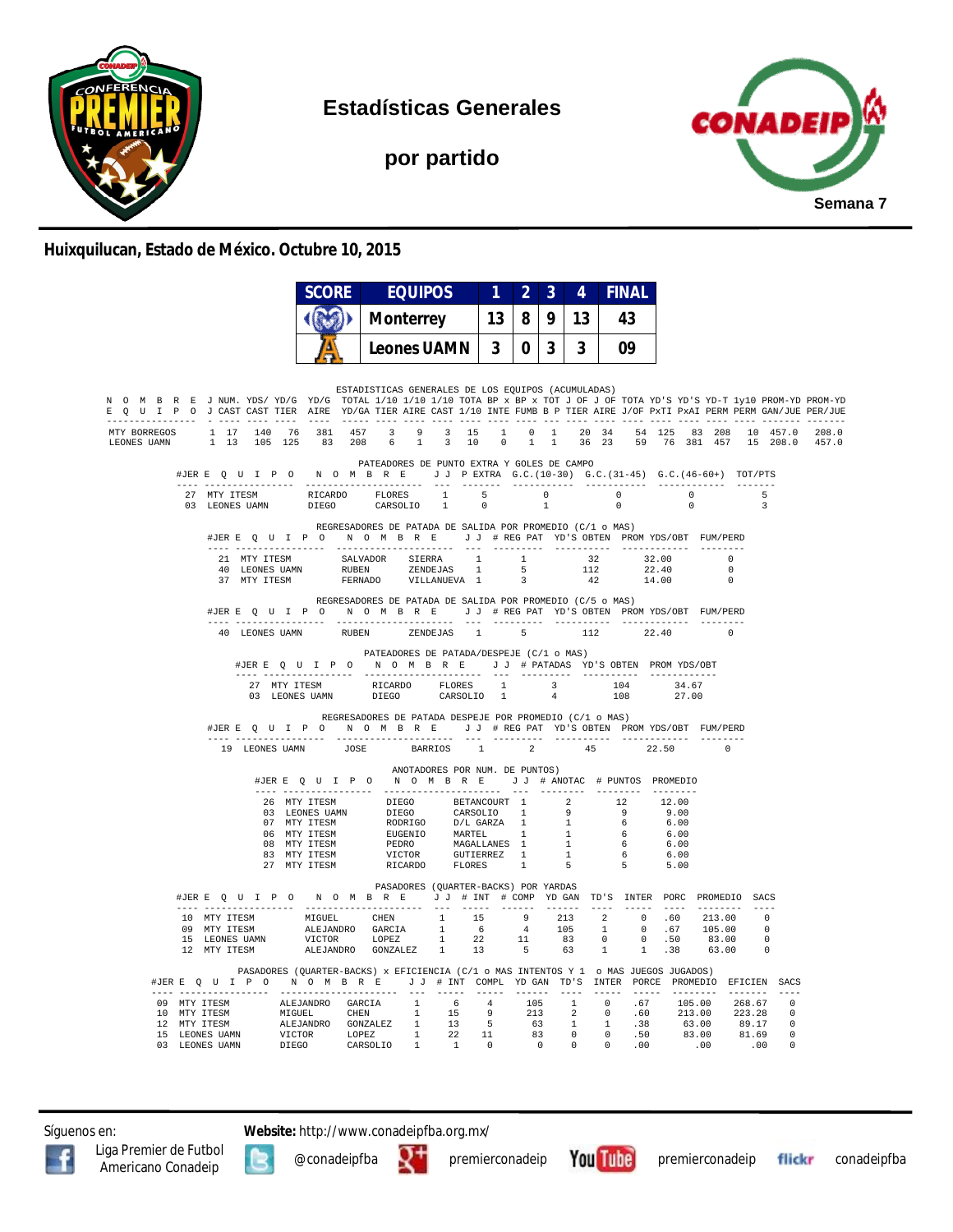

**Estadísticas Generales**

**por partido**



#### **Huixquilucan, Estado de México. Octubre 10, 2015**

|                                                                                                                                                                                                                                                             |  |                | <b>SCORE</b>                                                                                                                                                                                                                                                                                                                                               |              |                                                           | <b>EQUIPOS</b>                 | 1  | 2 <sup>1</sup> | $\overline{3}$ | 4  |                | <b>FINAL</b> |              |                                                                                                   |          |                                             |                |
|-------------------------------------------------------------------------------------------------------------------------------------------------------------------------------------------------------------------------------------------------------------|--|----------------|------------------------------------------------------------------------------------------------------------------------------------------------------------------------------------------------------------------------------------------------------------------------------------------------------------------------------------------------------------|--------------|-----------------------------------------------------------|--------------------------------|----|----------------|----------------|----|----------------|--------------|--------------|---------------------------------------------------------------------------------------------------|----------|---------------------------------------------|----------------|
|                                                                                                                                                                                                                                                             |  |                |                                                                                                                                                                                                                                                                                                                                                            |              | <b>Monterrey</b>                                          |                                | 13 | 8              | 9              | 13 |                | 43           |              |                                                                                                   |          |                                             |                |
|                                                                                                                                                                                                                                                             |  |                |                                                                                                                                                                                                                                                                                                                                                            |              | Leones UAMN $\vert$ 3 $\vert$ 0 $\vert$ 3                 |                                |    |                |                |    | 3 <sup>1</sup> | 09           |              |                                                                                                   |          |                                             |                |
|                                                                                                                                                                                                                                                             |  |                |                                                                                                                                                                                                                                                                                                                                                            |              | ESTADISTICAS GENERALES DE LOS EQUIPOS (ACUMULADAS)        |                                |    |                |                |    |                |              |              |                                                                                                   |          |                                             |                |
| N O M B R E J NUM. YDS/YD/G YD/G TOTAL 1/10 1/10 1/10 TOTA BP x BP x TOT J OF J OF TOTA YD'S YD-S YD-T 1y10 PROM-YD PROM-YD<br>E Q U I P O J CAST CAST TIER AIRE YD/GA TIER AIRE CAST 1/10 INTE FUMB B P TIER AIRE J/OF PXTI PXAI PERM PERM GAN/JUE PER/JUE |  |                |                                                                                                                                                                                                                                                                                                                                                            |              |                                                           |                                |    |                |                |    |                |              |              |                                                                                                   |          |                                             |                |
| MTY BORREGOS 1 17 140 76 381 457 3 9 3 15 1 0 1 20 34 54 125 83 208 10 457.0<br>LEONES UAMN                                                                                                                                                                 |  |                | 1 13 105 125 83 208                                                                                                                                                                                                                                                                                                                                        |              |                                                           |                                |    |                |                |    |                |              |              |                                                                                                   |          | 6 1 3 10 0 1 1 36 23 59 76 381 457 15 208.0 | 208.0<br>457.0 |
|                                                                                                                                                                                                                                                             |  |                | #JERE Q U I P O N O M B R E J J PEXTRA G.C. (10-30) G.C. (31-45) G.C. (46-60+) TOT/PTS                                                                                                                                                                                                                                                                     |              | PATEADORES DE PUNTO EXTRA Y GOLES DE CAMPO                |                                |    |                |                |    |                |              |              |                                                                                                   |          |                                             |                |
|                                                                                                                                                                                                                                                             |  |                | $\begin{tabular}{cccccccc} 27 & MTY TTESM & & & RICARDO & & FLORES & 1 & 5 & 0 & 0 & 0 \\ 03 & LEONES & UAMN & & & DIEGO & & & CARSOLIO & 1 & 0 & 1 & 0 & 0 \\ \end{tabular}$                                                                                                                                                                              |              |                                                           |                                |    |                |                |    |                |              |              |                                                                                                   |          | $-5$<br>$\overline{\phantom{a}}$            |                |
|                                                                                                                                                                                                                                                             |  |                | #JERE QUIPO NOMBRE JJ #REGPAT YD'S OBTEN PROMYDS/OBT FUM/PERD                                                                                                                                                                                                                                                                                              |              | REGRESADORES DE PATADA DE SALIDA POR PROMEDIO (C/1 o MAS) |                                |    |                |                |    |                |              |              |                                                                                                   |          |                                             |                |
|                                                                                                                                                                                                                                                             |  |                |                                                                                                                                                                                                                                                                                                                                                            |              |                                                           |                                |    |                |                |    |                |              |              | $\begin{array}{cccc} 32 & & 32.00 & & 0 \\ 112 & & 22.40 & & 0 \\ 42 & & 14.00 & & 0 \end{array}$ |          |                                             |                |
|                                                                                                                                                                                                                                                             |  |                |                                                                                                                                                                                                                                                                                                                                                            |              | REGRESADORES DE PATADA DE SALIDA POR PROMEDIO (C/5 o MAS) |                                |    |                |                |    |                |              |              |                                                                                                   |          |                                             |                |
|                                                                                                                                                                                                                                                             |  | 40 LEONES UAMN | #JERE QUIPO NOMBRE JJ #REGPAT YD'S OBTEN PROMYDS/OBT FUM/PERD                                                                                                                                                                                                                                                                                              | <b>RUBEN</b> |                                                           | ZENDEJAS 1                     |    | $5^{\circ}$    |                |    |                | 112 22.40    |              |                                                                                                   | $\sim$ 0 |                                             |                |
|                                                                                                                                                                                                                                                             |  |                | #JERE QUIPO NOMBRE JJ #PATADAS YD'S OBTEN PROMYDS/OBT                                                                                                                                                                                                                                                                                                      |              | PATEADORES DE PATADA/DESPEJE (C/1 o MAS)                  |                                |    |                |                |    |                |              |              |                                                                                                   |          |                                             |                |
|                                                                                                                                                                                                                                                             |  |                |                                                                                                                                                                                                                                                                                                                                                            |              |                                                           |                                |    |                |                |    |                |              |              |                                                                                                   |          |                                             |                |
|                                                                                                                                                                                                                                                             |  |                | #JERE Q U I P O N O M B R E J J # REG PAT YD'S OBTEN PROMYDS/OBT FUM/PERD                                                                                                                                                                                                                                                                                  |              | REGRESADORES DE PATADA DESPEJE POR PROMEDIO (C/1 o MAS)   |                                |    |                |                |    |                |              |              |                                                                                                   |          |                                             |                |
|                                                                                                                                                                                                                                                             |  |                | 19 LEONES UAMN JOSE                                                                                                                                                                                                                                                                                                                                        |              | --------------------                                      | BARRIOS 1                      |    | $2^{\circ}$    |                |    | 45             |              | 22.50        |                                                                                                   | $\Omega$ |                                             |                |
|                                                                                                                                                                                                                                                             |  |                | #JERE Q U I P O N O M B R E J J # ANOTAC # PUNTOS PROMEDIO                                                                                                                                                                                                                                                                                                 |              |                                                           | ANOTADORES POR NUM. DE PUNTOS) |    |                |                |    |                |              |              |                                                                                                   |          |                                             |                |
|                                                                                                                                                                                                                                                             |  |                |                                                                                                                                                                                                                                                                                                                                                            |              |                                                           |                                |    |                |                |    |                |              | 12.00        |                                                                                                   |          |                                             |                |
|                                                                                                                                                                                                                                                             |  |                |                                                                                                                                                                                                                                                                                                                                                            |              |                                                           |                                |    |                |                |    |                |              | 9.00<br>6.00 |                                                                                                   |          |                                             |                |
|                                                                                                                                                                                                                                                             |  |                |                                                                                                                                                                                                                                                                                                                                                            |              |                                                           |                                |    |                |                |    |                |              | 6.00<br>6.00 |                                                                                                   |          |                                             |                |
|                                                                                                                                                                                                                                                             |  |                | 26 MTY ITESM DIEGO BETANCOURT 1 2 12<br>26 MTY ITESM DIEGO GARSOLIO 1 9 9<br>07 MTY ITESM RODRIGO D/L GARZA 1 1 6<br>06 MTY ITESM EUGENIO MARTEL 1 1 6<br>06 MTY ITESM EUGENIO MAGALLANES 1 1 6<br>83 MTY ITESM PEDRO MAGALLANES 1 1 6<br>                                                                                                                 |              |                                                           |                                |    |                |                |    |                |              | 6.00<br>5.00 |                                                                                                   |          |                                             |                |
|                                                                                                                                                                                                                                                             |  |                |                                                                                                                                                                                                                                                                                                                                                            |              | PASADORES (OUARTER-BACKS) POR YARDAS                      |                                |    |                |                |    |                |              |              |                                                                                                   |          |                                             |                |
|                                                                                                                                                                                                                                                             |  |                | #JERE Q U I P O N O M B R E J J # INT # COMP YD GAN TD'S INTER PORC PROMEDIO SACS                                                                                                                                                                                                                                                                          |              |                                                           |                                |    |                |                |    |                |              |              |                                                                                                   |          |                                             |                |
|                                                                                                                                                                                                                                                             |  |                |                                                                                                                                                                                                                                                                                                                                                            |              |                                                           |                                |    |                |                |    |                |              |              |                                                                                                   |          |                                             |                |
|                                                                                                                                                                                                                                                             |  |                | $\begin{tabular}{cccccccc} 10 & MTY TTESM & MIGUEL & CHEN & 1 & 15 & 9 & 213 & 2 & 0 & .60 & 213.00 & 0 \\ 09 & MTY TTESM & ALEJANDRO & GAPCTA & 1 & 6 & 4 & 105 & 1 & 0 & .67 & 105.00 & 0 \\ 15 & LEONES UAMN & VICTOR & LOPEE & 1 & 22 & 11 & 83 & 0 & 0 & .50 & 83.00 & 0 \\ 16 & MTY TTESM & XLEJANDRO & GONZALEZ & 1 & 13 & 5 & 63 & 1 & 1 & .38 & $ |              |                                                           |                                |    |                |                |    |                |              |              |                                                                                                   |          |                                             |                |
|                                                                                                                                                                                                                                                             |  |                | PASADORES (QUARTER-BACKS) x EFICIENCIA (C/1 o MAS INTENTOS Y 1 o MAS JUEGOS JUGADOS)<br>#JERE Q U I P O N O M B R E J J # INT COMPL YDGAN TD'S INTER PORCE PROMEDIO EFICIEN SACS                                                                                                                                                                           |              |                                                           |                                |    |                |                |    |                |              |              |                                                                                                   |          |                                             |                |
|                                                                                                                                                                                                                                                             |  |                |                                                                                                                                                                                                                                                                                                                                                            |              |                                                           |                                |    |                |                |    |                |              |              |                                                                                                   |          |                                             |                |
|                                                                                                                                                                                                                                                             |  |                |                                                                                                                                                                                                                                                                                                                                                            |              |                                                           |                                |    |                |                |    |                |              |              |                                                                                                   |          |                                             |                |
|                                                                                                                                                                                                                                                             |  |                | $\begin{tabular}{cccccccc} 09 & MTY TTESM & ALEJANDRO & GARCHA & 1 & 6 & 4 & 105 & 1 & 0 & .67 & 105.00 & 268.67 & 0 \\ 10 & MTY TTESM & MIGUEL & CHEN & 1 & 15 & 9 & 213 & 2 & 0 & .60 & 213.00 & 223.28 & 0 \\ 12 & MTY TTESM & ALEJANDRO & GONZALEZ & 1 & 13 & 5 & 63 & 1 & 1 & .38 & 63.00 & 89.17 & 0 \\ 15 & LEONES UAMN & VICTOR & LOPEZ & 1 & $    |              |                                                           |                                |    |                |                |    |                |              |              |                                                                                                   |          |                                             |                |
|                                                                                                                                                                                                                                                             |  |                |                                                                                                                                                                                                                                                                                                                                                            |              |                                                           |                                |    |                |                |    |                |              |              |                                                                                                   |          |                                             |                |

Síguenos en: **Website:** http://www.conadeipfba.org.mx/





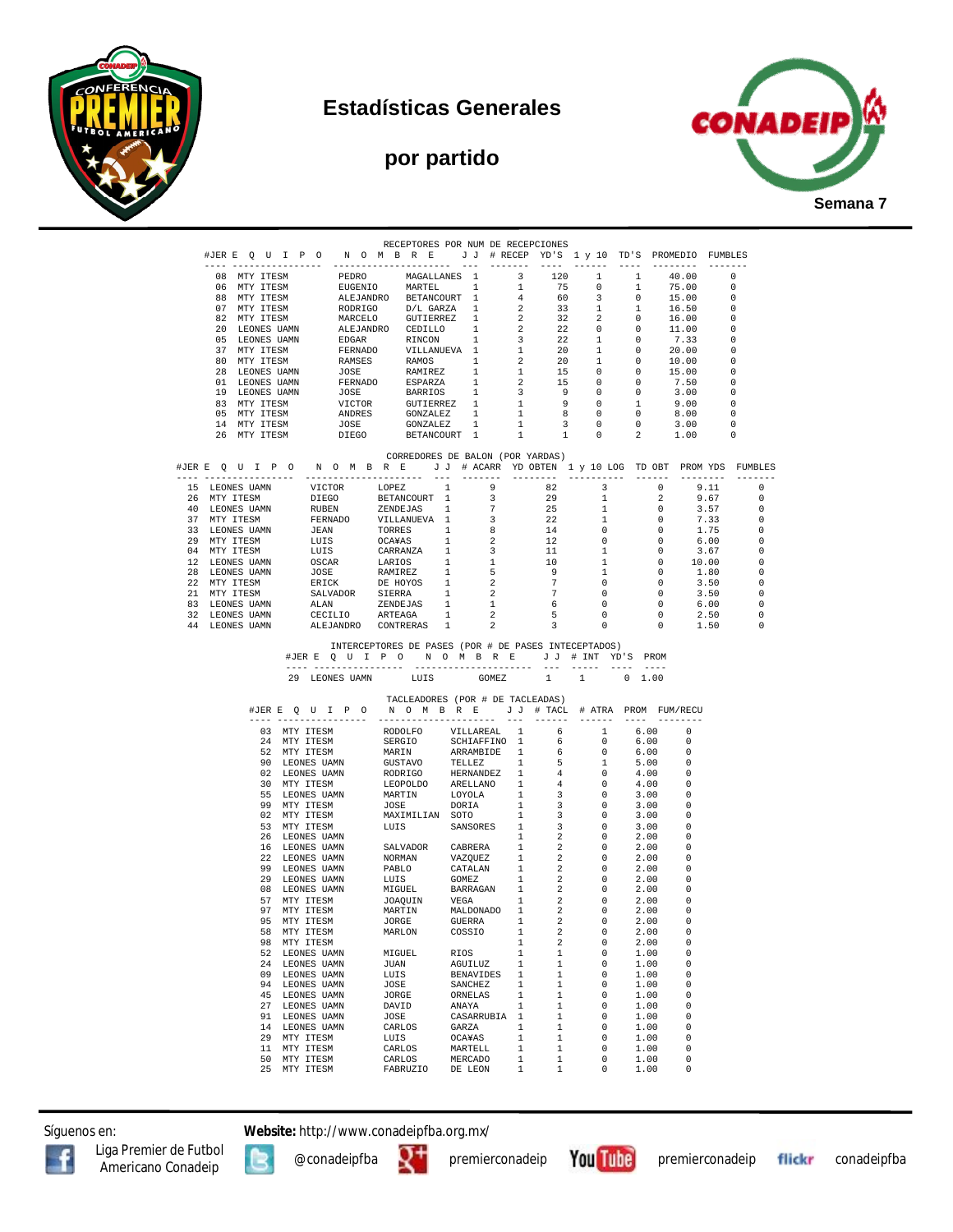

# **Estadísticas Generales**

# **por partido**



| #JER E Q U I P O N O M B R E J J # RECEP YD'S 1 y 10 TD'S PROMEDIO FUMBLES                                                                                                                                                                                     |                                  |                                         | RECEPTORES POR NUM DE RECEPCIONES                                                                                                                                                                                                                                                                                                                                                                         |                                                     |                                         |                                                                  |                                                      |                                            |                         |                                            |
|----------------------------------------------------------------------------------------------------------------------------------------------------------------------------------------------------------------------------------------------------------------|----------------------------------|-----------------------------------------|-----------------------------------------------------------------------------------------------------------------------------------------------------------------------------------------------------------------------------------------------------------------------------------------------------------------------------------------------------------------------------------------------------------|-----------------------------------------------------|-----------------------------------------|------------------------------------------------------------------|------------------------------------------------------|--------------------------------------------|-------------------------|--------------------------------------------|
| ---- ----------------                                                                                                                                                                                                                                          |                                  |                                         | -------------------- ---                                                                                                                                                                                                                                                                                                                                                                                  |                                                     | $- - - - - - - -$                       | $\cdots$<br>120                                                  | ------                                               | $---$                                      | ---------               | -------<br>$\Omega$                        |
| 06 MTY ITESM                                                                                                                                                                                                                                                   |                                  | EUGENIO                                 | 08 MTY ITESM PEDRO MAGALLANES 1                                                                                                                                                                                                                                                                                                                                                                           | MARTEL 1                                            | $\overline{\mathbf{3}}$<br>$\mathbf{1}$ | 75                                                               | $\mathbf{1}$<br>$\overline{0}$                       | $\mathbf{1}$<br>1                          | 40.00<br>75.00          | $\overline{\phantom{0}}$                   |
| 88 MTY ITESM                                                                                                                                                                                                                                                   |                                  |                                         | ALEJANDRO BETANCOURT 1                                                                                                                                                                                                                                                                                                                                                                                    |                                                     | 4                                       | 60                                                               | $\overline{\mathbf{3}}$                              | $\overline{\phantom{0}}$                   | 15.00                   | $\overline{\phantom{0}}$                   |
| 07 MTY ITESM                                                                                                                                                                                                                                                   |                                  |                                         | RODRIGO D/L GARZA 1<br>MARCELO GUTIERREZ 1                                                                                                                                                                                                                                                                                                                                                                |                                                     | $\overline{\mathbf{2}}$                 | 33                                                               | $\mathbf{1}$                                         | $\overline{1}$                             | 16.50                   | $\overline{\phantom{0}}$                   |
| 82 MTY ITESM<br>20 LEONES UAMN                                                                                                                                                                                                                                 |                                  |                                         | ALEJANDRO CEDILLO 1                                                                                                                                                                                                                                                                                                                                                                                       |                                                     | $\overline{\mathbf{2}}$<br>$\sim$ 2     | 32<br>22                                                         | $\overline{2}$<br>$\sim$ 0                           | $\overline{0}$<br>$\sim$ 0                 | 16.00<br>11.00          | $\overline{\phantom{0}}$<br>- 0            |
| 05 LEONES UAMN                                                                                                                                                                                                                                                 |                                  |                                         | ALLOWING COLUMBOR RINGON 1 3<br>FERNADO VILLANUEVA 1 1<br>RAMSES RAMOS 1 2<br>RAMSES RAMOS 1 2                                                                                                                                                                                                                                                                                                            |                                                     |                                         | 22                                                               | 1                                                    | $\overline{\mathbf{0}}$                    | 7.33                    | $\overline{\phantom{0}}$                   |
| 37 MTY ITESM                                                                                                                                                                                                                                                   |                                  |                                         |                                                                                                                                                                                                                                                                                                                                                                                                           |                                                     |                                         | 20                                                               | $\mathbf{1}$                                         | $\overline{0}$                             | 20.00                   | $\overline{\phantom{0}}$                   |
| 80 MTY ITESM                                                                                                                                                                                                                                                   |                                  |                                         |                                                                                                                                                                                                                                                                                                                                                                                                           |                                                     | $\overline{\phantom{a}}$ 2              | 20                                                               | 1                                                    | $\overline{0}$                             | 10.00                   | $\overline{\phantom{0}}$                   |
| 28 LEONES UAMN<br>01 LEONES UAMN                                                                                                                                                                                                                               |                                  |                                         |                                                                                                                                                                                                                                                                                                                                                                                                           |                                                     |                                         | 15<br>15                                                         | $\overline{0}$<br>$\overline{0}$                     | $\overline{0}$<br>$\overline{0}$           | 15.00<br>7.50           | $\overline{\phantom{0}}$<br>$\overline{0}$ |
| 19 LEONES UAMN                                                                                                                                                                                                                                                 |                                  |                                         |                                                                                                                                                                                                                                                                                                                                                                                                           |                                                     |                                         | 9                                                                | $\overline{0}$                                       | $\overline{0}$                             | 3.00                    | $\overline{\phantom{0}}$                   |
| 83 MTY ITESM                                                                                                                                                                                                                                                   |                                  |                                         | $\begin{tabular}{lllllllll} \textsc{JOSE} & \textsc{RAMIREZ} & 1 & 1 \\ \textsc{FERNADO} & \textsc{SSPARZA} & 1 & 2 \\ \textsc{JOSE} & \textsc{BARROS} & 1 & 3 \\ \textsc{VCTOR} & \textsc{GUTIERREZ} & 1 & 1 \\ \textsc{ANDRES} & \textsc{GONZALEZ} & 1 & 1 \\ \end{tabular}$                                                                                                                            |                                                     |                                         | 9                                                                | $\overline{0}$                                       | $\mathbf{1}$                               | 9.00                    | $\overline{\phantom{0}}$                   |
| 05 MTY ITESM<br>14 MTY ITESM                                                                                                                                                                                                                                   |                                  |                                         |                                                                                                                                                                                                                                                                                                                                                                                                           | GONZALEZ 1                                          | $\mathbf{1}$                            | 8 <sup>1</sup><br>$\overline{\mathbf{3}}$                        | $\overline{0}$<br>$\overline{0}$                     | $\Omega$<br>$\overline{0}$                 | 8.00<br>3.00            | - 0<br>$\overline{\phantom{0}}$            |
| 26 MTY ITESM                                                                                                                                                                                                                                                   |                                  | JOSE                                    | DIEGO BETANCOURT 1 1 1 0                                                                                                                                                                                                                                                                                                                                                                                  |                                                     |                                         |                                                                  |                                                      | $\overline{\phantom{a}}$                   | 1.00                    | $\overline{\phantom{0}}$                   |
|                                                                                                                                                                                                                                                                |                                  |                                         | CORREDORES DE BALON (POR YARDAS)                                                                                                                                                                                                                                                                                                                                                                          |                                                     |                                         |                                                                  |                                                      |                                            |                         |                                            |
| #JERE QUIPO NOMBRE JJ # ACARR YDOBTEN 1 y 10 LOG TDOBT PROMYDS FUMBLES                                                                                                                                                                                         |                                  |                                         |                                                                                                                                                                                                                                                                                                                                                                                                           |                                                     |                                         |                                                                  |                                                      |                                            |                         |                                            |
| 15 LEONES UAMN<br>15 LEONES UAMN VICTOR LOPEZ 1<br>26 MTY ITESM DIEGO BETANCOURT 1<br>40 LEONES UAMN RUBEN EXENDEJAS 1<br>37 MTY ITESM FERNADO VILLANUEVA 1<br>33 LEONES UAMN JEAN TORRES 1<br>29 MTY ITESM LUIS OCA¥AS 1<br>04 MTY ITESM LUIS CARRANZA 1<br>2 |                                  | VICTOR                                  | $LOPEZ$ 1 9                                                                                                                                                                                                                                                                                                                                                                                               | $\overline{\mathbf{3}}$                             |                                         | 82<br>29                                                         | $\overline{\mathbf{3}}$<br>$\mathbf{1}$              | $\overline{0}$<br>$\overline{2}$           | 9.11<br>9.67            | $\circ$<br>$^{\circ}$                      |
|                                                                                                                                                                                                                                                                |                                  |                                         |                                                                                                                                                                                                                                                                                                                                                                                                           | $7\overline{7}$                                     |                                         | 25                                                               | $\mathbf{1}$                                         | $\Omega$                                   | 3.57                    | 0                                          |
|                                                                                                                                                                                                                                                                |                                  |                                         |                                                                                                                                                                                                                                                                                                                                                                                                           | $\overline{\mathbf{3}}$                             |                                         | 22                                                               | 1                                                    | $\overline{0}$                             | 7.33                    | $\Omega$                                   |
|                                                                                                                                                                                                                                                                |                                  |                                         |                                                                                                                                                                                                                                                                                                                                                                                                           | 8 <sup>1</sup>                                      | 2                                       | $\begin{array}{c}\n 22 \\  14 \\  12 \\  11 \\  1\n \end{array}$ | $\overline{0}$                                       | $\sim$ 0                                   | 1.75                    | $\Omega$                                   |
|                                                                                                                                                                                                                                                                |                                  |                                         |                                                                                                                                                                                                                                                                                                                                                                                                           | $\overline{\mathbf{3}}$                             |                                         |                                                                  | $\circ$<br>$\mathbf{1}$                              | $\overline{\phantom{0}}$<br>$\overline{0}$ | 6.00<br>3.67            | 0<br>0                                     |
|                                                                                                                                                                                                                                                                |                                  |                                         |                                                                                                                                                                                                                                                                                                                                                                                                           |                                                     | $\mathbf{1}$                            | 10                                                               | $\mathbf{1}$                                         |                                            | 0 10.00                 | 0                                          |
|                                                                                                                                                                                                                                                                |                                  |                                         |                                                                                                                                                                                                                                                                                                                                                                                                           | 5 <sub>5</sub>                                      |                                         | 9                                                                | $\mathbf{1}$                                         | $\Omega$                                   | 1.80                    | 0                                          |
|                                                                                                                                                                                                                                                                |                                  |                                         |                                                                                                                                                                                                                                                                                                                                                                                                           | $\overline{\phantom{a}}$<br>$\overline{\mathbf{2}}$ |                                         | 7<br>$7\phantom{.0}\phantom{.0}7$                                | $\overline{0}$<br>$\overline{0}$                     | $\overline{0}$<br>$\overline{\phantom{0}}$ | 3.50<br>3.50            | 0<br>$\Omega$                              |
|                                                                                                                                                                                                                                                                |                                  |                                         |                                                                                                                                                                                                                                                                                                                                                                                                           | $\mathbf{1}$                                        |                                         | 6                                                                | $\overline{\phantom{0}}$                             | $\overline{\phantom{0}}$                   | 6.00                    | 0                                          |
| 32 LEONES UAMN                                                                                                                                                                                                                                                 |                                  | CECILIO                                 | ARTEAGA 1                                                                                                                                                                                                                                                                                                                                                                                                 | $\overline{\phantom{0}}^2$                          |                                         | 5                                                                | $\sim$ 0                                             | $\sim$ 0                                   | 2.50                    | $\Omega$                                   |
| 44 LEONES UAMN                                                                                                                                                                                                                                                 |                                  |                                         | ALEJANDRO CONTRERAS 1                                                                                                                                                                                                                                                                                                                                                                                     | $\overline{2}$                                      |                                         | 3                                                                | $\circ$                                              | $\overline{0}$                             | 1.50                    | 0                                          |
|                                                                                                                                                                                                                                                                |                                  | ---- ----------------<br>29 LEONES UAMN | INTERCEPTORES DE PASES (POR # DE PASES INTECEPTADOS)<br>#JERE QUIPO NOMBRE JJ # INT YD'S PROM                                                                                                                                                                                                                                                                                                             | ----------------------<br>LUIS GOMEZ                |                                         | 1                                                                | --- ----- ---- ----<br>1                             | $0\quad 1.00$                              |                         |                                            |
|                                                                                                                                                                                                                                                                |                                  |                                         | TACLEADORES (POR # DE TACLEADAS)                                                                                                                                                                                                                                                                                                                                                                          |                                                     |                                         |                                                                  |                                                      |                                            |                         |                                            |
|                                                                                                                                                                                                                                                                |                                  |                                         | #JERE QUIPO NOMBRE JJ # TACL # ATRA PROM FUM/RECU                                                                                                                                                                                                                                                                                                                                                         |                                                     |                                         |                                                                  |                                                      | ----- --------                             |                         |                                            |
|                                                                                                                                                                                                                                                                | 03 MTY ITESM                     |                                         |                                                                                                                                                                                                                                                                                                                                                                                                           |                                                     |                                         | 6 <sup>6</sup>                                                   | $\mathbf{1}$                                         | 6.00                                       | $\Omega$                |                                            |
|                                                                                                                                                                                                                                                                | 24 MTY ITESM                     |                                         | RODOLFO VILLAREAL 1<br>SERGIO SCHIAFFINO 1<br>MARIN ARRAMBIDE 1                                                                                                                                                                                                                                                                                                                                           |                                                     |                                         | 6                                                                | $\overline{0}$                                       | 6.00                                       | 0                       |                                            |
|                                                                                                                                                                                                                                                                | 52 MTY ITESM<br>90 LEONES UAMN   |                                         | MARIN                                                                                                                                                                                                                                                                                                                                                                                                     |                                                     |                                         | 6 <sup>6</sup><br>5 <sub>5</sub>                                 | $\overline{0}$<br>$\mathbf{1}$                       | 6.00<br>5.00                               | $\Omega$<br>0           |                                            |
|                                                                                                                                                                                                                                                                | 02 LEONES UAMN                   |                                         | GUSTAVO TELLEZ 1<br>RODRIGO HERNANDEZ 1<br>LEOPOLDO ARELLANO 1                                                                                                                                                                                                                                                                                                                                            |                                                     |                                         | 4                                                                | $\sim$ 0                                             | 4.00                                       | $\Omega$                |                                            |
|                                                                                                                                                                                                                                                                | 30 MTY ITESM                     |                                         |                                                                                                                                                                                                                                                                                                                                                                                                           |                                                     |                                         | $\overline{4}$                                                   | $\overline{\phantom{0}}$                             | 4.00                                       | 0                       |                                            |
|                                                                                                                                                                                                                                                                | 55 LEONES UAMN<br>99 MTY ITESM   |                                         | MARTIN LOYOLA 1<br>JOSE DORIA 1<br>MAXIMILIAN SOTO 1<br>LUIS SANSORES 1                                                                                                                                                                                                                                                                                                                                   |                                                     |                                         | $\overline{\mathbf{3}}$<br>$\overline{\mathbf{3}}$               | $\overline{\phantom{0}}$<br>$\overline{\phantom{0}}$ | 3.00<br>3.00                               | $\Omega$<br>$\Omega$    |                                            |
|                                                                                                                                                                                                                                                                | 02 MTY ITESM                     |                                         |                                                                                                                                                                                                                                                                                                                                                                                                           |                                                     |                                         | $\overline{\mathbf{3}}$                                          | $\overline{\phantom{0}}$                             | 3.00                                       | 0                       |                                            |
|                                                                                                                                                                                                                                                                | 53 MTY ITESM                     |                                         |                                                                                                                                                                                                                                                                                                                                                                                                           |                                                     |                                         | $\overline{\mathbf{3}}$                                          | $\overline{\mathbf{0}}$                              | 3.00                                       | $\Omega$                |                                            |
|                                                                                                                                                                                                                                                                | 26 LEONES UAMN<br>16 LEONES UAMN |                                         |                                                                                                                                                                                                                                                                                                                                                                                                           |                                                     | $\mathbf{1}$                            |                                                                  |                                                      | 2.00                                       | $\Omega$                |                                            |
|                                                                                                                                                                                                                                                                |                                  |                                         |                                                                                                                                                                                                                                                                                                                                                                                                           |                                                     |                                         | $\overline{2}$                                                   | $\overline{\phantom{0}}$                             |                                            |                         |                                            |
|                                                                                                                                                                                                                                                                |                                  |                                         |                                                                                                                                                                                                                                                                                                                                                                                                           |                                                     |                                         |                                                                  |                                                      | 2.00                                       | $\Omega$                |                                            |
|                                                                                                                                                                                                                                                                | 22 LEONES UAMN<br>99 LEONES UAMN |                                         |                                                                                                                                                                                                                                                                                                                                                                                                           |                                                     |                                         |                                                                  |                                                      | 2.00<br>2.00                               | 0<br>$\Omega$           |                                            |
|                                                                                                                                                                                                                                                                | 29 LEONES UAMN                   |                                         |                                                                                                                                                                                                                                                                                                                                                                                                           |                                                     |                                         |                                                                  |                                                      | 2.00                                       | $\Omega$                |                                            |
|                                                                                                                                                                                                                                                                | 08 LEONES UAMN                   |                                         |                                                                                                                                                                                                                                                                                                                                                                                                           |                                                     |                                         |                                                                  |                                                      | 2.00                                       | $\Omega$                |                                            |
|                                                                                                                                                                                                                                                                | 57 MTY ITESM                     |                                         |                                                                                                                                                                                                                                                                                                                                                                                                           |                                                     |                                         |                                                                  |                                                      | 2.00                                       | $\Omega$<br>$\Omega$    |                                            |
|                                                                                                                                                                                                                                                                | 97 MTY ITESM<br>95 MTY ITESM     |                                         |                                                                                                                                                                                                                                                                                                                                                                                                           |                                                     |                                         |                                                                  |                                                      | 2.00<br>2.00                               | $\Omega$                |                                            |
|                                                                                                                                                                                                                                                                | 58 MTY ITESM                     |                                         | $\begin{tabular}{lcccc} SALVADOR & CABRERA & 1 & 2 & 0 \\ NORMAN & VAZQUEZ & 1 & 2 & 0 \\ PABLO & CATALAN & 1 & 2 & 0 \\ LUIS & GOMEZ & 1 & 2 & 0 \\ LUIS & GOMEZ & 1 & 2 & 0 \\ MIGUEL & BARRAGAN & 1 & 2 & 0 \\ JOAQUIN & VEGA & 1 & 2 & 0 \\ JORQIIN & WRLDONADO & 1 & 2 & 0 \\ MARTIN & MALDONADO & 1 & 2 & 0 \\ JORGE & GUERRA & 1 & 2 & 0 \\ JORGE & GUERRA & 1 & 2 & 0 \\ \end{tabular}$<br>MARLON | COSSIO                                              |                                         |                                                                  |                                                      | 2.00                                       |                         |                                            |
|                                                                                                                                                                                                                                                                | 98 MTY ITESM                     |                                         |                                                                                                                                                                                                                                                                                                                                                                                                           |                                                     | $\mathbf{1}$                            | 2                                                                | 0<br>$\Omega$                                        | 2.00                                       | 0<br>$\Omega$           |                                            |
|                                                                                                                                                                                                                                                                | 52 LEONES UAMN<br>24 LEONES UAMN |                                         | MIGUEL<br>JUAN                                                                                                                                                                                                                                                                                                                                                                                            | RIOS<br>AGUILUZ                                     | $\mathbf{1}$<br>1                       | $\mathbf{1}$<br>1                                                | $^{\circ}$                                           | 1.00<br>1.00                               | $\Omega$                |                                            |
|                                                                                                                                                                                                                                                                | 09 LEONES UAMN                   |                                         | LUIS                                                                                                                                                                                                                                                                                                                                                                                                      | BENAVIDES 1                                         |                                         | $\mathbf{1}$                                                     | $^{\circ}$                                           | 1.00                                       | 0                       |                                            |
|                                                                                                                                                                                                                                                                | 94 LEONES UAMN                   |                                         | JOSE                                                                                                                                                                                                                                                                                                                                                                                                      | SANCHEZ                                             | $\mathbf{1}$                            | 1                                                                | $^{\circ}$                                           | 1.00                                       | 0                       |                                            |
|                                                                                                                                                                                                                                                                | 45 LEONES UAMN<br>27 LEONES UAMN |                                         | JORGE<br>DAVID                                                                                                                                                                                                                                                                                                                                                                                            | ORNELAS<br>ANAYA                                    | 1<br>$\mathbf{1}$                       | $\overline{1}$<br>1                                              | $^{\circ}$<br>$\Omega$                               | 1.00<br>1.00                               | $\mathbf 0$<br>$\Omega$ |                                            |
|                                                                                                                                                                                                                                                                | 91 LEONES UAMN                   |                                         | JOSE                                                                                                                                                                                                                                                                                                                                                                                                      | CASARRUBIA 1                                        |                                         | $\mathbf{1}$                                                     | $\circ$                                              | 1.00                                       | 0                       |                                            |
|                                                                                                                                                                                                                                                                | 14 LEONES UAMN                   |                                         | CARLOS                                                                                                                                                                                                                                                                                                                                                                                                    | GARZA                                               | $\mathbf{1}$                            | $\mathbf{1}$                                                     | $\circ$                                              | 1.00                                       | $\Omega$                |                                            |
|                                                                                                                                                                                                                                                                | 29 MTY ITESM                     |                                         | LUIS                                                                                                                                                                                                                                                                                                                                                                                                      | OCA¥AS                                              | $\mathbf{1}$                            | $\overline{1}$                                                   | 0                                                    | 1.00                                       | $\Omega$                |                                            |
|                                                                                                                                                                                                                                                                | 11 MTY ITESM<br>50 MTY ITESM     |                                         | CARLOS<br>CARLOS                                                                                                                                                                                                                                                                                                                                                                                          | MARTELL<br>MERCADO                                  | 1<br>$\mathbf{1}$                       | $\mathbf{1}$<br>1                                                | 0<br>0                                               | 1.00<br>1.00                               | $\Omega$<br>$\Omega$    |                                            |

Síguenos en: **Website:** http://www.conadeipfba.org.mx/